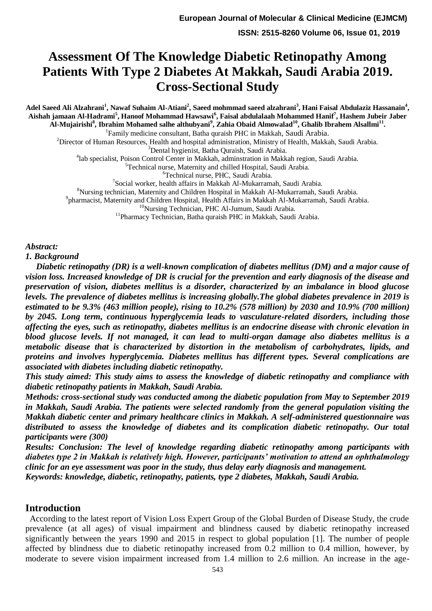# **Assessment Of The Knowledge Diabetic Retinopathy Among Patients With Type 2 Diabetes At Makkah, Saudi Arabia 2019. Cross-Sectional Study**

**Adel Saeed Ali Alzahrani<sup>1</sup> , Nawaf Suhaim Al-Atiani<sup>2</sup> , Saeed mohmmad saeed alzahrani<sup>3</sup> , Hani Faisal Abdulaziz Hassanain<sup>4</sup> , Aishah jamaan Al-Hadrami<sup>5</sup> , Hanoof Mohammad Hawsawi<sup>6</sup> , Faisal abdulalaah Mohammed Hanif<sup>7</sup> , Hashem Jubeir Jaber Al-Mujairishi<sup>8</sup> , Ibrahim Mohamed salhe althubyani<sup>9</sup> , Zahia Obaid Almowalad<sup>10</sup>, Ghalib Ibrahem Alsallmi<sup>11</sup> .**

<sup>1</sup>Family medicine consultant, Batha quraish PHC in Makkah, Saudi Arabia.

<sup>2</sup>Director of Human Resources, Health and hospital administration, Ministry of Health, Makkah, Saudi Arabia.

<sup>3</sup>Dental hygienist, Batha Quraish, Saudi Arabia.

4 lab specialist, Poison Control Center in Makkah, adminstration in Makkah region, Saudi Arabia.

<sup>5</sup>Technical nurse, Maternity and chilled Hospital, Saudi Arabia.

<sup>6</sup>Technical nurse, PHC, Saudi Arabia.

<sup>7</sup>Social worker, health affairs in Makkah Al-Mukarramah, Saudi Arabia.

<sup>8</sup>Nursing technician, Maternity and Children Hospital in Makkah Al-Mukarramah, Saudi Arabia.

9 pharmacist, Maternity and Children Hospital, Health Affairs in Makkah Al-Mukarramah, Saudi Arabia.

<sup>10</sup>Nursing Technician, PHC Al-Jumum, Saudi Arabia.

<sup>11</sup>Pharmacy Technician, Batha quraish PHC in Makkah, Saudi Arabia.

*Abstract:*

*1. Background*

 *Diabetic retinopathy (DR) is a well-known complication of diabetes mellitus (DM) and a major cause of vision loss. Increased knowledge of DR is crucial for the prevention and early diagnosis of the disease and preservation of vision, diabetes mellitus is a disorder, characterized by an imbalance in blood glucose levels. The prevalence of diabetes mellitus is increasing globally.The global diabetes prevalence in 2019 is estimated to be 9.3% (463 million people), rising to 10.2% (578 million) by 2030 and 10.9% (700 million) by 2045. Long term, continuous hyperglycemia leads to vasculature-related disorders, including those affecting the eyes, such as retinopathy, diabetes mellitus is an endocrine disease with chronic elevation in blood glucose levels. If not managed, it can lead to multi-organ damage also diabetes mellitus is a metabolic disease that is characterized by distortion in the metabolism of carbohydrates, lipids, and proteins and involves hyperglycemia. Diabetes mellitus has different types. Several complications are associated with diabetes including diabetic retinopathy.*

*This study aimed: This study aims to assess the knowledge of diabetic retinopathy and compliance with diabetic retinopathy patients in Makkah, Saudi Arabia.*

*Methods: cross-sectional study was conducted among the diabetic population from May to September 2019 in Makkah, Saudi Arabia. The patients were selected randomly from the general population visiting the Makkah diabetic center and primary healthcare clinics in Makkah. A self-administered questionnaire was distributed to assess the knowledge of diabetes and its complication diabetic retinopathy. Our total participants were (300)*

*Results: Conclusion: The level of knowledge regarding diabetic retinopathy among participants with diabetes type 2 in Makkah is relatively high. However, participants' motivation to attend an ophthalmology clinic for an eye assessment was poor in the study, thus delay early diagnosis and management. Keywords: knowledge, diabetic, retinopathy, patients, type 2 diabetes, Makkah, Saudi Arabia.*

#### **Introduction**

 According to the latest report of Vision Loss Expert Group of the Global Burden of Disease Study, the crude prevalence (at all ages) of visual impairment and blindness caused by diabetic retinopathy increased significantly between the years 1990 and 2015 in respect to global population [1]. The number of people affected by blindness due to diabetic retinopathy increased from 0.2 million to 0.4 million, however, by moderate to severe vision impairment increased from 1.4 million to 2.6 million. An increase in the age-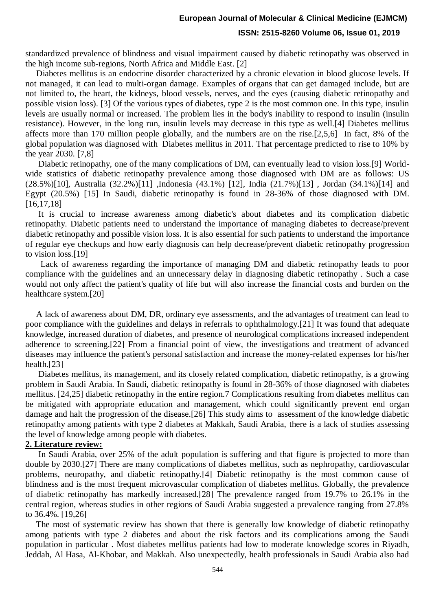standardized prevalence of blindness and visual impairment caused by diabetic retinopathy was observed in the high income sub-regions, North Africa and Middle East. [2]

 Diabetes mellitus is an endocrine disorder characterized by a chronic elevation in blood glucose levels. If not managed, it can lead to multi-organ damage. Examples of organs that can get damaged include, but are not limited to, the heart, the kidneys, blood vessels, nerves, and the eyes (causing diabetic retinopathy and possible vision loss). [3] Of the various types of diabetes, type 2 is the most common one. In this type, insulin levels are usually normal or increased. The problem lies in the body's inability to respond to insulin (insulin resistance). However, in the long run, insulin levels may decrease in this type as well.[4] Diabetes mellitus affects more than 170 million people globally, and the numbers are on the rise.[2,5,6] In fact, 8% of the global population was diagnosed with Diabetes mellitus in 2011. That percentage predicted to rise to 10% by the year 2030. [7,8]

 Diabetic retinopathy, one of the many complications of DM, can eventually lead to vision loss.[9] Worldwide statistics of diabetic retinopathy prevalence among those diagnosed with DM are as follows: US (28.5%)[10], Australia (32.2%)[11] ,Indonesia (43.1%) [12], India (21.7%)[13] , Jordan (34.1%)[14] and Egypt (20.5%) [15] In Saudi, diabetic retinopathy is found in 28-36% of those diagnosed with DM. [16,17,18]

 It is crucial to increase awareness among diabetic's about diabetes and its complication diabetic retinopathy. Diabetic patients need to understand the importance of managing diabetes to decrease/prevent diabetic retinopathy and possible vision loss. It is also essential for such patients to understand the importance of regular eye checkups and how early diagnosis can help decrease/prevent diabetic retinopathy progression to vision loss.[19]

 Lack of awareness regarding the importance of managing DM and diabetic retinopathy leads to poor compliance with the guidelines and an unnecessary delay in diagnosing diabetic retinopathy . Such a case would not only affect the patient's quality of life but will also increase the financial costs and burden on the healthcare system.[20]

 A lack of awareness about DM, DR, ordinary eye assessments, and the advantages of treatment can lead to poor compliance with the guidelines and delays in referrals to ophthalmology.[21] It was found that adequate knowledge, increased duration of diabetes, and presence of neurological complications increased independent adherence to screening.[22] From a financial point of view, the investigations and treatment of advanced diseases may influence the patient's personal satisfaction and increase the money-related expenses for his/her health.[23]

 Diabetes mellitus, its management, and its closely related complication, diabetic retinopathy, is a growing problem in Saudi Arabia. In Saudi, diabetic retinopathy is found in 28-36% of those diagnosed with diabetes mellitus. [24,25] diabetic retinopathy in the entire region.7 Complications resulting from diabetes mellitus can be mitigated with appropriate education and management, which could significantly prevent end organ damage and halt the progression of the disease.[26] This study aims to assessment of the knowledge diabetic retinopathy among patients with type 2 diabetes at Makkah, Saudi Arabia, there is a lack of studies assessing the level of knowledge among people with diabetes.

#### **2. Literature review:**

 In Saudi Arabia, over 25% of the adult population is suffering and that figure is projected to more than double by 2030.[27] There are many complications of diabetes mellitus, such as nephropathy, cardiovascular problems, neuropathy, and diabetic retinopathy.[4] Diabetic retinopathy is the most common cause of blindness and is the most frequent microvascular complication of diabetes mellitus. Globally, the prevalence of diabetic retinopathy has markedly increased.[28] The prevalence ranged from 19.7% to 26.1% in the central region, whereas studies in other regions of Saudi Arabia suggested a prevalence ranging from 27.8% to 36.4%. [19,26]

 The most of systematic review has shown that there is generally low knowledge of diabetic retinopathy among patients with type 2 diabetes and about the risk factors and its complications among the Saudi population in particular . Most diabetes mellitus patients had low to moderate knowledge scores in Riyadh, Jeddah, Al Hasa, Al-Khobar, and Makkah. Also unexpectedly, health professionals in Saudi Arabia also had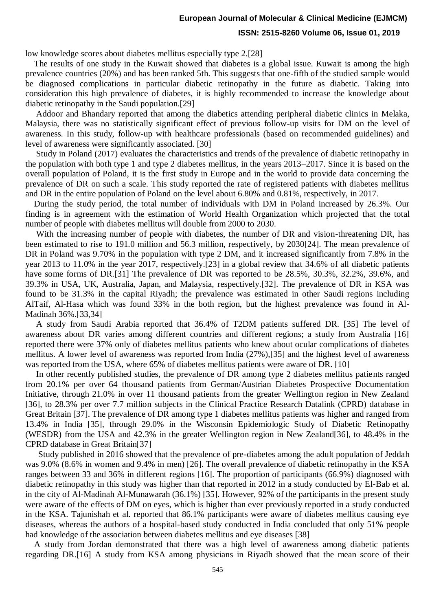# **European Journal of Molecular & Clinical Medicine (EJMCM)**

#### **ISSN: 2515-8260 Volume 06, Issue 01, 2019**

low knowledge scores about diabetes mellitus especially type 2.[28]

 The results of one study in the Kuwait showed that diabetes is a global issue. Kuwait is among the high prevalence countries (20%) and has been ranked 5th. This suggests that one-fifth of the studied sample would be diagnosed complications in particular diabetic retinopathy in the future as diabetic. Taking into consideration this high prevalence of diabetes, it is highly recommended to increase the knowledge about diabetic retinopathy in the Saudi population.[29]

 Addoor and Bhandary reported that among the diabetics attending peripheral diabetic clinics in Melaka, Malaysia, there was no statistically significant effect of previous follow-up visits for DM on the level of awareness. In this study, follow-up with healthcare professionals (based on recommended guidelines) and level of awareness were significantly associated. [30]

 Study in Poland (2017) evaluates the characteristics and trends of the prevalence of diabetic retinopathy in the population with both type 1 and type 2 diabetes mellitus, in the years 2013–2017. Since it is based on the overall population of Poland, it is the first study in Europe and in the world to provide data concerning the prevalence of DR on such a scale. This study reported the rate of registered patients with diabetes mellitus and DR in the entire population of Poland on the level about 6.80% and 0.81%, respectively, in 2017.

 During the study period, the total number of individuals with DM in Poland increased by 26.3%. Our finding is in agreement with the estimation of World Health Organization which projected that the total number of people with diabetes mellitus will double from 2000 to 2030.

 With the increasing number of people with diabetes, the number of DR and vision-threatening DR, has been estimated to rise to 191.0 million and 56.3 million, respectively, by 2030[24]. The mean prevalence of DR in Poland was 9.70% in the population with type 2 DM, and it increased significantly from 7.8% in the year 2013 to 11.0% in the year 2017, respectively.[23] in a global review that 34.6% of all diabetic patients have some forms of DR.[31] The prevalence of DR was reported to be  $28.5\%$ ,  $30.3\%$ ,  $32.2\%$ ,  $39.6\%$ , and 39.3% in USA, UK, Australia, Japan, and Malaysia, respectively.[32]. The prevalence of DR in KSA was found to be 31.3% in the capital Riyadh; the prevalence was estimated in other Saudi regions including AlTaif, Al-Hasa which was found 33% in the both region, but the highest prevalence was found in Al-Madinah 36%.[33,34]

 A study from Saudi Arabia reported that 36.4% of T2DM patients suffered DR. [35] The level of awareness about DR varies among different countries and different regions; a study from Australia [16] reported there were 37% only of diabetes mellitus patients who knew about ocular complications of diabetes mellitus. A lower level of awareness was reported from India (27%),[35] and the highest level of awareness was reported from the USA, where 65% of diabetes mellitus patients were aware of DR. [10]

 In other recently published studies, the prevalence of DR among type 2 diabetes mellitus patients ranged from 20.1% per over 64 thousand patients from German/Austrian Diabetes Prospective Documentation Initiative, through 21.0% in over 11 thousand patients from the greater Wellington region in New Zealand [36], to 28.3% per over 7.7 million subjects in the Clinical Practice Research Datalink (CPRD) database in Great Britain [37]. The prevalence of DR among type 1 diabetes mellitus patients was higher and ranged from 13.4% in India [35], through 29.0% in the Wisconsin Epidemiologic Study of Diabetic Retinopathy (WESDR) from the USA and 42.3% in the greater Wellington region in New Zealand[36], to 48.4% in the CPRD database in Great Britain[37]

 Study published in 2016 showed that the prevalence of pre-diabetes among the adult population of Jeddah was 9.0% (8.6% in women and 9.4% in men) [26]. The overall prevalence of diabetic retinopathy in the KSA ranges between 33 and 36% in different regions [16]. The proportion of participants (66.9%) diagnosed with diabetic retinopathy in this study was higher than that reported in 2012 in a study conducted by El-Bab et al. in the city of Al-Madinah Al-Munawarah (36.1%) [35]. However, 92% of the participants in the present study were aware of the effects of DM on eyes, which is higher than ever previously reported in a study conducted in the KSA. Tajunishah et al. reported that 86.1% participants were aware of diabetes mellitus causing eye diseases, whereas the authors of a hospital-based study conducted in India concluded that only 51% people had knowledge of the association between diabetes mellitus and eye diseases [38]

 A study from Jordan demonstrated that there was a high level of awareness among diabetic patients regarding DR.[16] A study from KSA among physicians in Riyadh showed that the mean score of their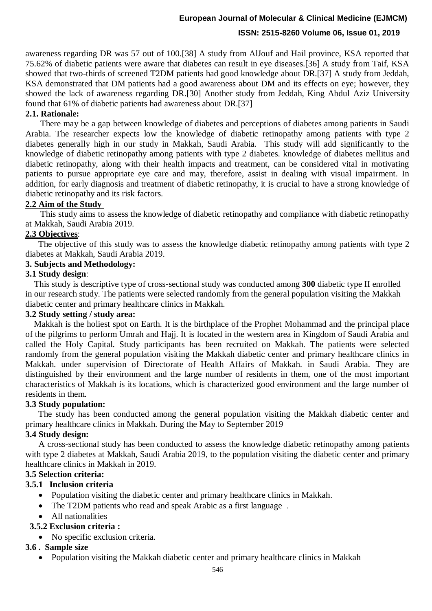# **European Journal of Molecular & Clinical Medicine (EJMCM)**

#### **ISSN: 2515-8260 Volume 06, Issue 01, 2019**

awareness regarding DR was 57 out of 100.[38] A study from AlJouf and Hail province, KSA reported that 75.62% of diabetic patients were aware that diabetes can result in eye diseases.[36] A study from Taif, KSA showed that two-thirds of screened T2DM patients had good knowledge about DR.[37] A study from Jeddah, KSA demonstrated that DM patients had a good awareness about DM and its effects on eye; however, they showed the lack of awareness regarding DR.[30] Another study from Jeddah, King Abdul Aziz University found that 61% of diabetic patients had awareness about DR.[37]

#### **2.1. Rationale:**

 There may be a gap between knowledge of diabetes and perceptions of diabetes among patients in Saudi Arabia. The researcher expects low the knowledge of diabetic retinopathy among patients with type 2 diabetes generally high in our study in Makkah, Saudi Arabia. This study will add significantly to the knowledge of diabetic retinopathy among patients with type 2 diabetes. knowledge of diabetes mellitus and diabetic retinopathy, along with their health impacts and treatment, can be considered vital in motivating patients to pursue appropriate eye care and may, therefore, assist in dealing with visual impairment. In addition, for early diagnosis and treatment of diabetic retinopathy, it is crucial to have a strong knowledge of diabetic retinopathy and its risk factors.

#### **2.2 Aim of the Study**

 This study aims to assess the knowledge of diabetic retinopathy and compliance with diabetic retinopathy at Makkah, Saudi Arabia 2019.

#### **2.3 Objectives**:

 The objective of this study was to assess the knowledge diabetic retinopathy among patients with type 2 diabetes at Makkah, Saudi Arabia 2019.

#### **3. Subjects and Methodology:**

#### **3.1 Study design**:

This study is descriptive type of cross-sectional study was conducted among **300** diabetic type II enrolled in our research study. The patients were selected randomly from the general population visiting the Makkah diabetic center and primary healthcare clinics in Makkah.

#### **3.2 Study setting / study area:**

 Makkah is the holiest spot on Earth. It is the birthplace of the Prophet Mohammad and the principal place of the pilgrims to perform Umrah and Hajj. It is located in the western area in Kingdom of Saudi Arabia and called the Holy Capital. Study participants has been recruited on Makkah. The patients were selected randomly from the general population visiting the Makkah diabetic center and primary healthcare clinics in Makkah. under supervision of Directorate of Health Affairs of Makkah. in Saudi Arabia. They are distinguished by their environment and the large number of residents in them, one of the most important characteristics of Makkah is its locations, which is characterized good environment and the large number of residents in them.

#### **3.3 Study population:**

 The study has been conducted among the general population visiting the Makkah diabetic center and primary healthcare clinics in Makkah. During the May to September 2019

#### **3.4 Study design:**

 A cross-sectional study has been conducted to assess the knowledge diabetic retinopathy among patients with type 2 diabetes at Makkah, Saudi Arabia 2019, to the population visiting the diabetic center and primary healthcare clinics in Makkah in 2019.

#### **3.5 Selection criteria:**

#### **3.5.1 Inclusion criteria**

- Population visiting the diabetic center and primary healthcare clinics in Makkah.
- The T2DM patients who read and speak Arabic as a first language.
- All nationalities

#### **3.5.2 Exclusion criteria :**

• No specific exclusion criteria.

#### **3.6 . Sample size**

Population visiting the Makkah diabetic center and primary healthcare clinics in Makkah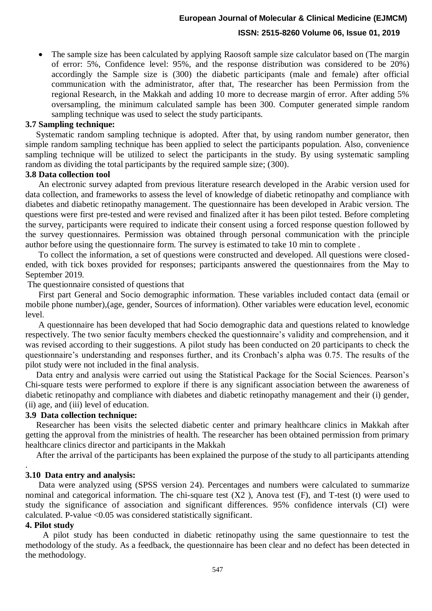The sample size has been calculated by applying Raosoft sample size calculator based on (The margin of error: 5%, Confidence level: 95%, and the response distribution was considered to be 20%) accordingly the Sample size is (300) the diabetic participants (male and female) after official communication with the administrator, after that, The researcher has been Permission from the regional Research, in the Makkah and adding 10 more to decrease margin of error. After adding 5% oversampling, the minimum calculated sample has been 300. Computer generated simple random sampling technique was used to select the study participants.

#### **3.7 Sampling technique:**

 Systematic random sampling technique is adopted. After that, by using random number generator, then simple random sampling technique has been applied to select the participants population. Also, convenience sampling technique will be utilized to select the participants in the study. By using systematic sampling random as dividing the total participants by the required sample size; (300).

#### **3.8 Data collection tool**

An electronic survey adapted from previous literature research developed in the Arabic version used for data collection, and frameworks to assess the level of knowledge of diabetic retinopathy and compliance with diabetes and diabetic retinopathy management. The questionnaire has been developed in Arabic version. The questions were first pre-tested and were revised and finalized after it has been pilot tested. Before completing the survey, participants were required to indicate their consent using a forced response question followed by the survey questionnaires. Permission was obtained through personal communication with the principle author before using the questionnaire form. The survey is estimated to take 10 min to complete .

To collect the information, a set of questions were constructed and developed. All questions were closedended, with tick boxes provided for responses; participants answered the questionnaires from the May to September 2019.

The questionnaire consisted of questions that

 First part General and Socio demographic information. These variables included contact data (email or mobile phone number),(age, gender, Sources of information). Other variables were education level, economic level.

A questionnaire has been developed that had Socio demographic data and questions related to knowledge respectively. The two senior faculty members checked the questionnaire's validity and comprehension, and it was revised according to their suggestions. A pilot study has been conducted on 20 participants to check the questionnaire's understanding and responses further, and its Cronbach's alpha was 0.75. The results of the pilot study were not included in the final analysis.

Data entry and analysis were carried out using the Statistical Package for the Social Sciences. Pearson's Chi-square tests were performed to explore if there is any significant association between the awareness of diabetic retinopathy and compliance with diabetes and diabetic retinopathy management and their (i) gender, (ii) age, and (iii) level of education.

#### **3.9 Data collection technique:**

Researcher has been visits the selected diabetic center and primary healthcare clinics in Makkah after getting the approval from the ministries of health. The researcher has been obtained permission from primary healthcare clinics director and participants in the Makkah

After the arrival of the participants has been explained the purpose of the study to all participants attending

#### **3.10 Data entry and analysis:**

 Data were analyzed using (SPSS version 24). Percentages and numbers were calculated to summarize nominal and categorical information. The chi-square test (X2 ), Anova test (F), and T-test (t) were used to study the significance of association and significant differences. 95% confidence intervals (CI) were calculated. P-value <0.05 was considered statistically significant.

#### **4. Pilot study**

.

A pilot study has been conducted in diabetic retinopathy using the same questionnaire to test the methodology of the study. As a feedback, the questionnaire has been clear and no defect has been detected in the methodology.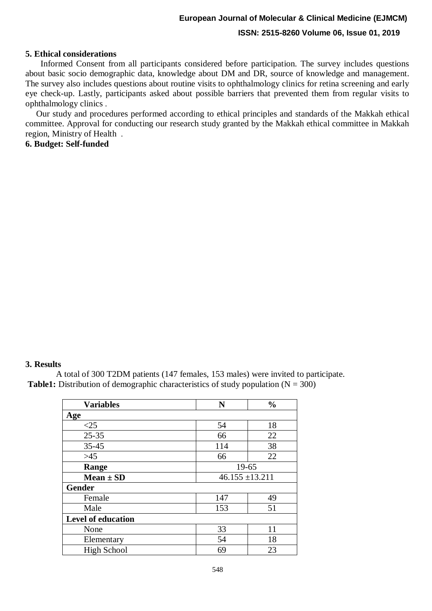#### **5. Ethical considerations**

Informed Consent from all participants considered before participation. The survey includes questions about basic socio demographic data, knowledge about DM and DR, source of knowledge and management. The survey also includes questions about routine visits to ophthalmology clinics for retina screening and early eye check-up. Lastly, participants asked about possible barriers that prevented them from regular visits to ophthalmology clinics .

 Our study and procedures performed according to ethical principles and standards of the Makkah ethical committee. Approval for conducting our research study granted by the Makkah ethical committee in Makkah region, Ministry of Health .

#### **6. Budget: Self-funded**

#### **3. Results**

 A total of 300 T2DM patients (147 females, 153 males) were invited to participate. **Table1:** Distribution of demographic characteristics of study population  $(N = 300)$ 

| <b>Variables</b>   | N   | $\frac{0}{0}$       |  |  |  |
|--------------------|-----|---------------------|--|--|--|
| Age                |     |                     |  |  |  |
| $\leq$ 25          | 54  | 18                  |  |  |  |
| $25 - 35$          | 66  | 22                  |  |  |  |
| $35 - 45$          | 114 | 38                  |  |  |  |
| $>45$              | 66  | 22                  |  |  |  |
| Range              |     | $19 - 65$           |  |  |  |
| $Mean \pm SD$      |     | $46.155 \pm 13.211$ |  |  |  |
| <b>Gender</b>      |     |                     |  |  |  |
| Female             | 147 | 49                  |  |  |  |
| Male               | 153 | 51                  |  |  |  |
| Level of education |     |                     |  |  |  |
| None               | 33  | 11                  |  |  |  |
| Elementary         | 54  | 18                  |  |  |  |
| <b>High School</b> | 69  | 23                  |  |  |  |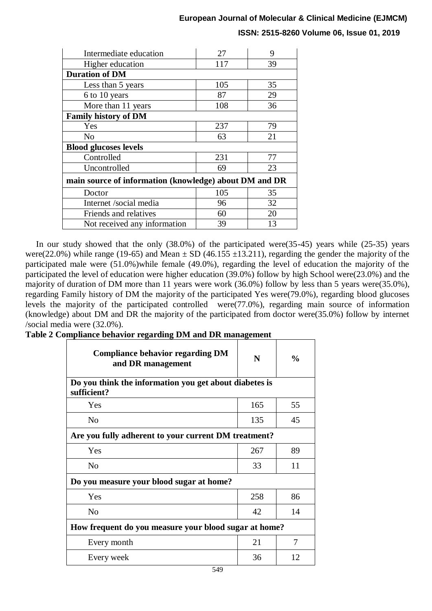| Intermediate education                                 | 27  | 9  |  |  |  |  |
|--------------------------------------------------------|-----|----|--|--|--|--|
| Higher education                                       | 117 | 39 |  |  |  |  |
| <b>Duration of DM</b>                                  |     |    |  |  |  |  |
| Less than 5 years                                      | 105 | 35 |  |  |  |  |
| 6 to 10 years                                          | 87  | 29 |  |  |  |  |
| More than 11 years                                     | 108 | 36 |  |  |  |  |
| <b>Family history of DM</b>                            |     |    |  |  |  |  |
| Yes                                                    | 237 | 79 |  |  |  |  |
| No                                                     | 63  | 21 |  |  |  |  |
| <b>Blood glucoses levels</b>                           |     |    |  |  |  |  |
| Controlled                                             | 231 | 77 |  |  |  |  |
| Uncontrolled                                           | 69  | 23 |  |  |  |  |
| main source of information (knowledge) about DM and DR |     |    |  |  |  |  |
| Doctor                                                 | 105 | 35 |  |  |  |  |
| Internet /social media                                 | 96  | 32 |  |  |  |  |
| Friends and relatives                                  | 60  | 20 |  |  |  |  |
| Not received any information                           | 39  | 13 |  |  |  |  |

 In our study showed that the only (38.0%) of the participated were(35-45) years while (25-35) years were(22.0%) while range (19-65) and Mean  $\pm$  SD (46.155  $\pm$ 13.211), regarding the gender the majority of the participated male were (51.0%)while female (49.0%), regarding the level of education the majority of the participated the level of education were higher education (39.0%) follow by high School were(23.0%) and the majority of duration of DM more than 11 years were work (36.0%) follow by less than 5 years were(35.0%), regarding Family history of DM the majority of the participated Yes were(79.0%), regarding blood glucoses levels the majority of the participated controlled were(77.0%), regarding main source of information (knowledge) about DM and DR the majority of the participated from doctor were(35.0%) follow by internet /social media were (32.0%).

**Table 2 Compliance behavior regarding DM and DR management**

| <b>Compliance behavior regarding DM</b><br>and DR management          | N   | $\frac{0}{0}$ |  |  |  |  |
|-----------------------------------------------------------------------|-----|---------------|--|--|--|--|
| Do you think the information you get about diabetes is<br>sufficient? |     |               |  |  |  |  |
| Yes                                                                   | 165 | 55            |  |  |  |  |
| N <sub>0</sub>                                                        | 135 | 45            |  |  |  |  |
| Are you fully adherent to your current DM treatment?                  |     |               |  |  |  |  |
| Yes                                                                   | 267 | 89            |  |  |  |  |
| N <sub>0</sub>                                                        | 33  | 11            |  |  |  |  |
| Do you measure your blood sugar at home?                              |     |               |  |  |  |  |
| Yes                                                                   | 258 | 86            |  |  |  |  |
| N <sub>o</sub>                                                        | 42  | 14            |  |  |  |  |
| How frequent do you measure your blood sugar at home?                 |     |               |  |  |  |  |
| Every month                                                           | 21  | 7             |  |  |  |  |
| Every week                                                            | 36  | 12            |  |  |  |  |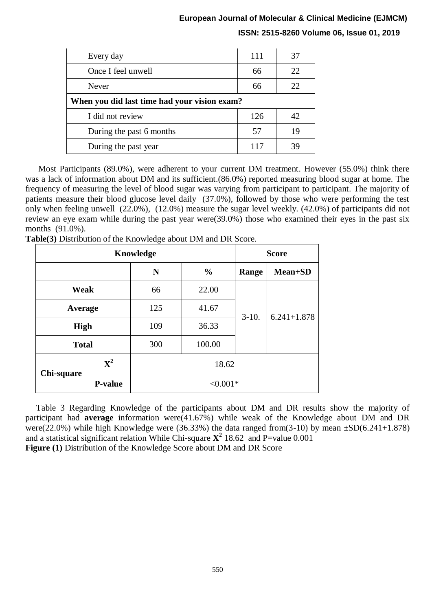| Every day                                    | 111 | 37 |  |  |
|----------------------------------------------|-----|----|--|--|
| Once I feel unwell                           | 66  | 22 |  |  |
| Never                                        | 66  | 22 |  |  |
| When you did last time had your vision exam? |     |    |  |  |
| I did not review                             | 126 | 42 |  |  |
| During the past 6 months                     | 57  | 19 |  |  |
| During the past year                         | 117 | 39 |  |  |

 Most Participants (89.0%), were adherent to your current DM treatment. However (55.0%) think there was a lack of information about DM and its sufficient.(86.0%) reported measuring blood sugar at home. The frequency of measuring the level of blood sugar was varying from participant to participant. The majority of patients measure their blood glucose level daily (37.0%), followed by those who were performing the test only when feeling unwell (22.0%), (12.0%) measure the sugar level weekly. (42.0%) of participants did not review an eye exam while during the past year were(39.0%) those who examined their eyes in the past six months (91.0%).

| Knowledge    |                |     |               |         | <b>Score</b>    |  |
|--------------|----------------|-----|---------------|---------|-----------------|--|
|              |                | N   | $\frac{0}{0}$ | Range   | Mean+SD         |  |
| Weak         |                | 66  | 22.00         |         | $6.241 + 1.878$ |  |
| Average      |                | 125 | 41.67         | $3-10.$ |                 |  |
| <b>High</b>  |                | 109 | 36.33         |         |                 |  |
| <b>Total</b> |                | 300 | 100.00        |         |                 |  |
| Chi-square   | ${\bf X}^2$    |     | 18.62         |         |                 |  |
|              | <b>P-value</b> |     | $< 0.001*$    |         |                 |  |

**Table(3)** Distribution of the Knowledge about DM and DR Score.

 Table 3 Regarding Knowledge of the participants about DM and DR results show the majority of participant had **average** information were(41.67%) while weak of the Knowledge about DM and DR were(22.0%) while high Knowledge were (36.33%) the data ranged from(3-10) by mean  $\pm$ SD(6.241+1.878) and a statistical significant relation While Chi-square  $\mathbf{X}^2$  18.62 and P=value 0.001 **Figure (1)** Distribution of the Knowledge Score about DM and DR Score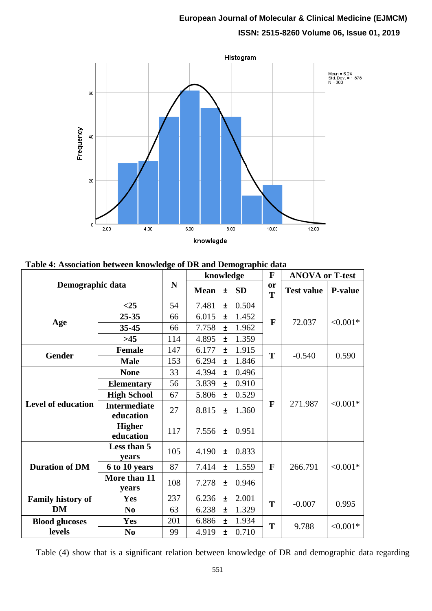

#### **Table 4: Association between knowledge of DR and Demographic data**

| Demographic data          |                                  |     | knowledge   |       |           | $\mathbf F$    | <b>ANOVA or T-test</b> |                |
|---------------------------|----------------------------------|-----|-------------|-------|-----------|----------------|------------------------|----------------|
|                           |                                  | N   | <b>Mean</b> | $\pm$ | <b>SD</b> | <b>or</b><br>T | <b>Test value</b>      | <b>P-value</b> |
|                           | $<$ 25                           | 54  | 7.481       | Ŧ     | 0.504     |                |                        |                |
|                           | $25 - 35$                        | 66  | 6.015       | Ŧ     | 1.452     | $\mathbf{F}$   | 72.037                 | $< 0.001*$     |
| Age                       | $35 - 45$                        | 66  | 7.758       | Ŧ     | 1.962     |                |                        |                |
|                           | $>45$                            | 114 | 4.895       | Ŧ     | 1.359     |                |                        |                |
| <b>Gender</b>             | <b>Female</b>                    | 147 | 6.177       | Ŧ     | 1.915     | T              | $-0.540$               | 0.590          |
|                           | <b>Male</b>                      | 153 | 6.294       | Ŧ     | 1.846     |                |                        |                |
|                           | <b>None</b>                      | 33  | 4.394       | $\pm$ | 0.496     |                |                        |                |
|                           | <b>Elementary</b>                | 56  | 3.839       | Ŧ     | 0.910     | F              | 271.987                | $< 0.001*$     |
| <b>Level of education</b> | <b>High School</b>               | 67  | 5.806       | $\pm$ | 0.529     |                |                        |                |
|                           | <b>Intermediate</b><br>education | 27  | 8.815       | $\pm$ | 1.360     |                |                        |                |
|                           | <b>Higher</b><br>education       | 117 | 7.556       | $\pm$ | 0.951     |                |                        |                |
| <b>Duration of DM</b>     | Less than 5<br>years             | 105 | 4.190       | $\pm$ | 0.833     |                |                        |                |
|                           | 6 to 10 years                    | 87  | 7.414       | $\pm$ | 1.559     | $\mathbf{F}$   | 266.791                | $< 0.001*$     |
|                           | More than 11<br>vears            | 108 | 7.278       | ±.    | 0.946     |                |                        |                |
| <b>Family history of</b>  | <b>Yes</b>                       | 237 | 6.236       | $\pm$ | 2.001     | T              | $-0.007$               | 0.995          |
| <b>DM</b>                 | N <sub>0</sub>                   | 63  | 6.238       | Ŧ     | 1.329     |                |                        |                |
| <b>Blood glucoses</b>     | <b>Yes</b>                       | 201 | 6.886       | $\pm$ | 1.934     | T              | 9.788                  | $< 0.001*$     |
| levels                    | N <sub>0</sub>                   | 99  | 4.919       | $\pm$ | 0.710     |                |                        |                |

Table (4) show that is a significant relation between knowledge of DR and demographic data regarding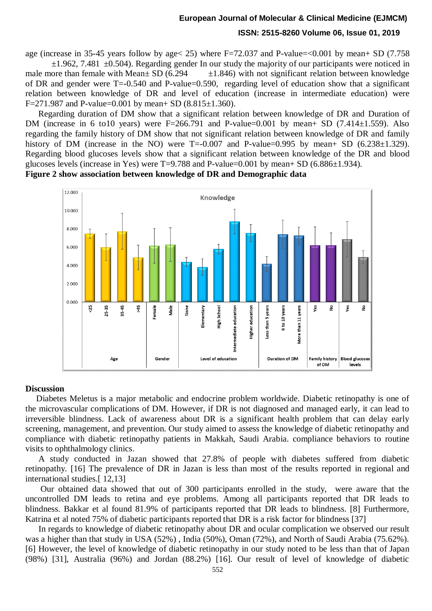age (increase in 35-45 years follow by age  $(25)$  where F=72.037 and P-value= $(0.001$  by mean+ SD (7.758)

 $\pm 1.962$ , 7.481  $\pm 0.504$ ). Regarding gender In our study the majority of our participants were noticed in male more than female with Mean $\pm$  SD (6.294  $\pm$ 1.846) with not significant relation between knowledge of DR and gender were T=-0.540 and P-value=0.590, regarding level of education show that a significant relation between knowledge of DR and level of education (increase in intermediate education) were F=271.987 and P-value=0.001 by mean+ SD (8.815 $\pm$ 1.360).

 Regarding duration of DM show that a significant relation between knowledge of DR and Duration of DM (increase in 6 to 10 years) were  $F=266.791$  and P-value=0.001 by mean+ SD (7.414 $\pm$ 1.559). Also regarding the family history of DM show that not significant relation between knowledge of DR and family history of DM (increase in the NO) were  $T = -0.007$  and P-value=0.995 by mean+ SD (6.238 $\pm$ 1.329). Regarding blood glucoses levels show that a significant relation between knowledge of the DR and blood glucoses levels (increase in Yes) were  $T=9.788$  and P-value=0.001 by mean+ SD (6.886 $\pm$ 1.934).

**Figure 2 show association between knowledge of DR and Demographic data**



#### **Discussion**

 Diabetes Meletus is a major metabolic and endocrine problem worldwide. Diabetic retinopathy is one of the microvascular complications of DM. However, if DR is not diagnosed and managed early, it can lead to irreversible blindness. Lack of awareness about DR is a significant health problem that can delay early screening, management, and prevention. Our study aimed to assess the knowledge of diabetic retinopathy and compliance with diabetic retinopathy patients in Makkah, Saudi Arabia. compliance behaviors to routine visits to ophthalmology clinics.

A study conducted in Jazan showed that 27.8% of people with diabetes suffered from diabetic retinopathy. [16] The prevalence of DR in Jazan is less than most of the results reported in regional and international studies.[ 12,13]

Our obtained data showed that out of 300 participants enrolled in the study, were aware that the uncontrolled DM leads to retina and eye problems. Among all participants reported that DR leads to blindness. Bakkar et al found 81.9% of participants reported that DR leads to blindness. [8] Furthermore, Katrina et al noted 75% of diabetic participants reported that DR is a risk factor for blindness [37]

In regards to knowledge of diabetic retinopathy about DR and ocular complication we observed our result was a higher than that study in USA (52%) , India (50%), Oman (72%), and North of Saudi Arabia (75.62%). [6] However, the level of knowledge of diabetic retinopathy in our study noted to be less than that of Japan (98%) [31], Australia (96%) and Jordan (88.2%) [16]. Our result of level of knowledge of diabetic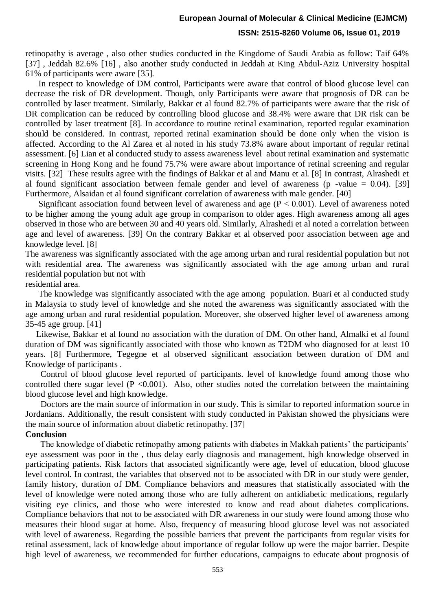# **European Journal of Molecular & Clinical Medicine (EJMCM)**

#### **ISSN: 2515-8260 Volume 06, Issue 01, 2019**

retinopathy is average , also other studies conducted in the Kingdome of Saudi Arabia as follow: Taif 64% [37] , Jeddah 82.6% [16] , also another study conducted in Jeddah at King Abdul-Aziz University hospital 61% of participants were aware [35].

In respect to knowledge of DM control, Participants were aware that control of blood glucose level can decrease the risk of DR development. Though, only Participants were aware that prognosis of DR can be controlled by laser treatment. Similarly, Bakkar et al found 82.7% of participants were aware that the risk of DR complication can be reduced by controlling blood glucose and 38.4% were aware that DR risk can be controlled by laser treatment [8]. In accordance to routine retinal examination, reported regular examination should be considered. In contrast, reported retinal examination should be done only when the vision is affected. According to the Al Zarea et al noted in his study 73.8% aware about important of regular retinal assessment. [6] Lian et al conducted study to assess awareness level about retinal examination and systematic screening in Hong Kong and he found 75.7% were aware about importance of retinal screening and regular visits. [32] These results agree with the findings of Bakkar et al and Manu et al. [8] In contrast, Alrashedi et al found significant association between female gender and level of awareness (p -value  $= 0.04$ ). [39] Furthermore, Alsaidan et al found significant correlation of awareness with male gender. [40]

Significant association found between level of awareness and age ( $P < 0.001$ ). Level of awareness noted to be higher among the young adult age group in comparison to older ages. High awareness among all ages observed in those who are between 30 and 40 years old. Similarly, Alrashedi et al noted a correlation between age and level of awareness. [39] On the contrary Bakkar et al observed poor association between age and knowledge level. [8]

The awareness was significantly associated with the age among urban and rural residential population but not with residential area. The awareness was significantly associated with the age among urban and rural residential population but not with

#### residential area.

The knowledge was significantly associated with the age among population. Buari et al conducted study in Malaysia to study level of knowledge and she noted the awareness was significantly associated with the age among urban and rural residential population. Moreover, she observed higher level of awareness among 35-45 age group. [41]

Likewise, Bakkar et al found no association with the duration of DM. On other hand, Almalki et al found duration of DM was significantly associated with those who known as T2DM who diagnosed for at least 10 years. [8] Furthermore, Tegegne et al observed significant association between duration of DM and Knowledge of participants .

 Control of blood glucose level reported of participants. level of knowledge found among those who controlled there sugar level ( $P < 0.001$ ). Also, other studies noted the correlation between the maintaining blood glucose level and high knowledge.

Doctors are the main source of information in our study. This is similar to reported information source in Jordanians. Additionally, the result consistent with study conducted in Pakistan showed the physicians were the main source of information about diabetic retinopathy. [37]

#### **Conclusion**

 The knowledge of diabetic retinopathy among patients with diabetes in Makkah patients' the participants' eye assessment was poor in the , thus delay early diagnosis and management, high knowledge observed in participating patients. Risk factors that associated significantly were age, level of education, blood glucose level control. In contrast, the variables that observed not to be associated with DR in our study were gender, family history, duration of DM. Compliance behaviors and measures that statistically associated with the level of knowledge were noted among those who are fully adherent on antidiabetic medications, regularly visiting eye clinics, and those who were interested to know and read about diabetes complications. Compliance behaviors that not to be associated with DR awareness in our study were found among those who measures their blood sugar at home. Also, frequency of measuring blood glucose level was not associated with level of awareness. Regarding the possible barriers that prevent the participants from regular visits for retinal assessment, lack of knowledge about importance of regular follow up were the major barrier. Despite high level of awareness, we recommended for further educations, campaigns to educate about prognosis of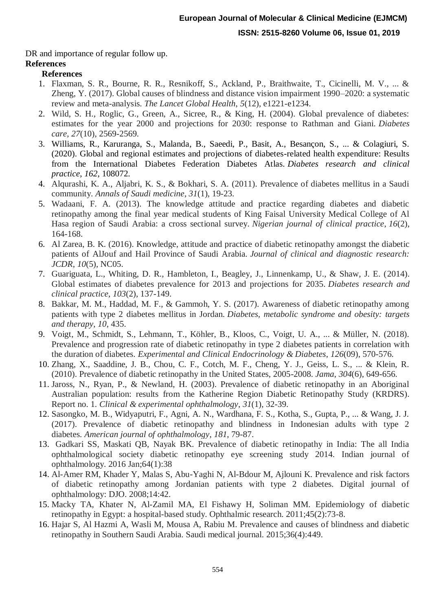DR and importance of regular follow up.

### **References**

### **References**

- 1. Flaxman, S. R., Bourne, R. R., Resnikoff, S., Ackland, P., Braithwaite, T., Cicinelli, M. V., ... & Zheng, Y. (2017). Global causes of blindness and distance vision impairment 1990–2020: a systematic review and meta-analysis. *The Lancet Global Health*, *5*(12), e1221-e1234.
- 2. Wild, S. H., Roglic, G., Green, A., Sicree, R., & King, H. (2004). Global prevalence of diabetes: estimates for the year 2000 and projections for 2030: response to Rathman and Giani. *Diabetes care*, *27*(10), 2569-2569.
- 3. Williams, R., Karuranga, S., Malanda, B., Saeedi, P., Basit, A., Besançon, S., ... & Colagiuri, S. (2020). Global and regional estimates and projections of diabetes-related health expenditure: Results from the International Diabetes Federation Diabetes Atlas. *Diabetes research and clinical practice*, *162*, 108072.
- 4. Alqurashi, K. A., Aljabri, K. S., & Bokhari, S. A. (2011). Prevalence of diabetes mellitus in a Saudi community. *Annals of Saudi medicine*, *31*(1), 19-23.
- 5. Wadaani, F. A. (2013). The knowledge attitude and practice regarding diabetes and diabetic retinopathy among the final year medical students of King Faisal University Medical College of Al Hasa region of Saudi Arabia: a cross sectional survey. *Nigerian journal of clinical practice*, *16*(2), 164-168.
- 6. Al Zarea, B. K. (2016). Knowledge, attitude and practice of diabetic retinopathy amongst the diabetic patients of AlJouf and Hail Province of Saudi Arabia. *Journal of clinical and diagnostic research: JCDR*, *10*(5), NC05.
- 7. Guariguata, L., Whiting, D. R., Hambleton, I., Beagley, J., Linnenkamp, U., & Shaw, J. E. (2014). Global estimates of diabetes prevalence for 2013 and projections for 2035. *Diabetes research and clinical practice*, *103*(2), 137-149.
- 8. Bakkar, M. M., Haddad, M. F., & Gammoh, Y. S. (2017). Awareness of diabetic retinopathy among patients with type 2 diabetes mellitus in Jordan. *Diabetes, metabolic syndrome and obesity: targets and therapy*, *10*, 435.
- 9. Voigt, M., Schmidt, S., Lehmann, T., Köhler, B., Kloos, C., Voigt, U. A., ... & Müller, N. (2018). Prevalence and progression rate of diabetic retinopathy in type 2 diabetes patients in correlation with the duration of diabetes. *Experimental and Clinical Endocrinology & Diabetes*, *126*(09), 570-576.
- 10. Zhang, X., Saaddine, J. B., Chou, C. F., Cotch, M. F., Cheng, Y. J., Geiss, L. S., ... & Klein, R. (2010). Prevalence of diabetic retinopathy in the United States, 2005-2008. *Jama*, *304*(6), 649-656.
- 11. Jaross, N., Ryan, P., & Newland, H. (2003). Prevalence of diabetic retinopathy in an Aboriginal Australian population: results from the Katherine Region Diabetic Retinopathy Study (KRDRS). Report no. 1. *Clinical & experimental ophthalmology*, *31*(1), 32-39.
- 12. Sasongko, M. B., Widyaputri, F., Agni, A. N., Wardhana, F. S., Kotha, S., Gupta, P., ... & Wang, J. J. (2017). Prevalence of diabetic retinopathy and blindness in Indonesian adults with type 2 diabetes. *American journal of ophthalmology*, *181*, 79-87.
- 13. Gadkari SS, Maskati QB, Nayak BK. Prevalence of diabetic retinopathy in India: The all India ophthalmological society diabetic retinopathy eye screening study 2014. Indian journal of ophthalmology. 2016 Jan;64(1):38
- 14. Al-Amer RM, Khader Y, Malas S, Abu-Yaghi N, Al-Bdour M, Ajlouni K. Prevalence and risk factors of diabetic retinopathy among Jordanian patients with type 2 diabetes. Digital journal of ophthalmology: DJO. 2008;14:42.
- 15. Macky TA, Khater N, Al-Zamil MA, El Fishawy H, Soliman MM. Epidemiology of diabetic retinopathy in Egypt: a hospital-based study. Ophthalmic research. 2011;45(2):73-8.
- 16. Hajar S, Al Hazmi A, Wasli M, Mousa A, Rabiu M. Prevalence and causes of blindness and diabetic retinopathy in Southern Saudi Arabia. Saudi medical journal. 2015;36(4):449.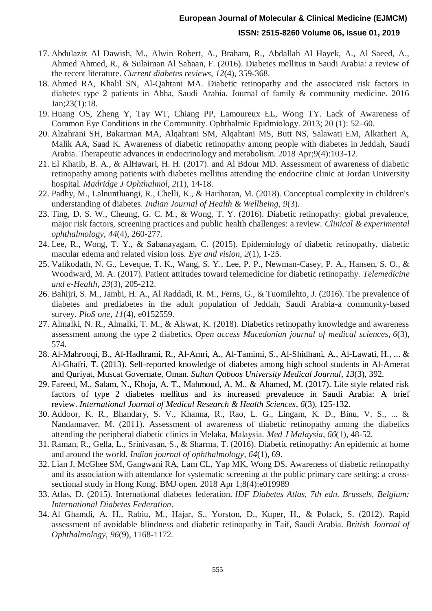- 17. Abdulaziz Al Dawish, M., Alwin Robert, A., Braham, R., Abdallah Al Hayek, A., Al Saeed, A., Ahmed Ahmed, R., & Sulaiman Al Sabaan, F. (2016). Diabetes mellitus in Saudi Arabia: a review of the recent literature. *Current diabetes reviews*, *12*(4), 359-368.
- 18. Ahmed RA, Khalil SN, Al-Qahtani MA. Diabetic retinopathy and the associated risk factors in diabetes type 2 patients in Abha, Saudi Arabia. Journal of family & community medicine. 2016 Jan;23(1):18.
- 19. Huang OS, Zheng Y, Tay WT, Chiang PP, Lamoureux EL, Wong TY. Lack of Awareness of Common Eye Conditions in the Community. Ophthalmic Epidmiology. 2013; 20 (1): 52–60.
- 20. Alzahrani SH, Bakarman MA, Alqahtani SM, Alqahtani MS, Butt NS, Salawati EM, Alkatheri A, Malik AA, Saad K. Awareness of diabetic retinopathy among people with diabetes in Jeddah, Saudi Arabia. Therapeutic advances in endocrinology and metabolism. 2018 Apr;9(4):103-12.
- 21. El Khatib, B. A., & AlHawari, H. H. (2017). and Al Bdour MD. Assessment of awareness of diabetic retinopathy among patients with diabetes mellitus attending the endocrine clinic at Jordan University hospital. *Madridge J Ophthalmol*, *2*(1), 14-18.
- 22. Padhy, M., Lalnuntluangi, R., Chelli, K., & Hariharan, M. (2018). Conceptual complexity in children's understanding of diabetes. *Indian Journal of Health & Wellbeing*, *9*(3).
- 23. Ting, D. S. W., Cheung, G. C. M., & Wong, T. Y. (2016). Diabetic retinopathy: global prevalence, major risk factors, screening practices and public health challenges: a review. *Clinical & experimental ophthalmology*, *44*(4), 260-277.
- 24. Lee, R., Wong, T. Y., & Sabanayagam, C. (2015). Epidemiology of diabetic retinopathy, diabetic macular edema and related vision loss. *Eye and vision*, *2*(1), 1-25.
- 25. Valikodath, N. G., Leveque, T. K., Wang, S. Y., Lee, P. P., Newman-Casey, P. A., Hansen, S. O., & Woodward, M. A. (2017). Patient attitudes toward telemedicine for diabetic retinopathy. *Telemedicine and e-Health*, *23*(3), 205-212.
- 26. Bahijri, S. M., Jambi, H. A., Al Raddadi, R. M., Ferns, G., & Tuomilehto, J. (2016). The prevalence of diabetes and prediabetes in the adult population of Jeddah, Saudi Arabia-a community-based survey. *PloS one*, *11*(4), e0152559.
- 27. Almalki, N. R., Almalki, T. M., & Alswat, K. (2018). Diabetics retinopathy knowledge and awareness assessment among the type 2 diabetics. *Open access Macedonian journal of medical sciences*, *6*(3), 574.
- 28. Al-Mahrooqi, B., Al-Hadhrami, R., Al-Amri, A., Al-Tamimi, S., Al-Shidhani, A., Al-Lawati, H., ... & Al-Ghafri, T. (2013). Self-reported knowledge of diabetes among high school students in Al-Amerat and Quriyat, Muscat Governate, Oman. *Sultan Qaboos University Medical Journal*, *13*(3), 392.
- 29. Fareed, M., Salam, N., Khoja, A. T., Mahmoud, A. M., & Ahamed, M. (2017). Life style related risk factors of type 2 diabetes mellitus and its increased prevalence in Saudi Arabia: A brief review. *International Journal of Medical Research & Health Sciences*, *6*(3), 125-132.
- 30. Addoor, K. R., Bhandary, S. V., Khanna, R., Rao, L. G., Lingam, K. D., Binu, V. S., ... & Nandannaver, M. (2011). Assessment of awareness of diabetic retinopathy among the diabetics attending the peripheral diabetic clinics in Melaka, Malaysia. *Med J Malaysia*, *66*(1), 48-52.
- 31. Raman, R., Gella, L., Srinivasan, S., & Sharma, T. (2016). Diabetic retinopathy: An epidemic at home and around the world. *Indian journal of ophthalmology*, *64*(1), 69.
- 32. Lian J, McGhee SM, Gangwani RA, Lam CL, Yap MK, Wong DS. Awareness of diabetic retinopathy and its association with attendance for systematic screening at the public primary care setting: a crosssectional study in Hong Kong. BMJ open. 2018 Apr 1;8(4):e019989
- 33. Atlas, D. (2015). International diabetes federation. *IDF Diabetes Atlas, 7th edn. Brussels, Belgium: International Diabetes Federation*.
- 34. Al Ghamdi, A. H., Rabiu, M., Hajar, S., Yorston, D., Kuper, H., & Polack, S. (2012). Rapid assessment of avoidable blindness and diabetic retinopathy in Taif, Saudi Arabia. *British Journal of Ophthalmology*, *96*(9), 1168-1172.